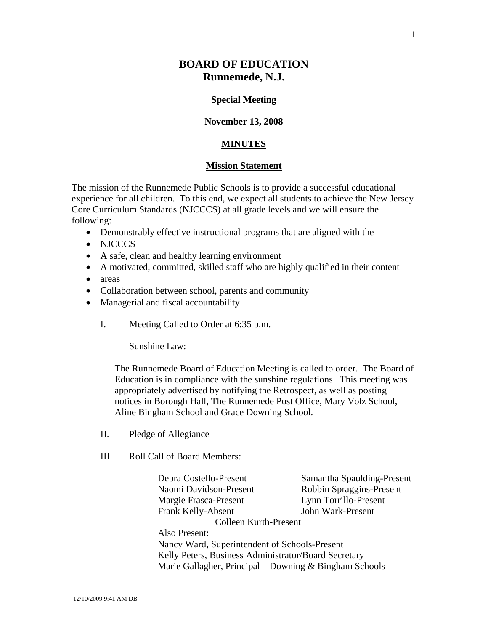# **BOARD OF EDUCATION Runnemede, N.J.**

#### **Special Meeting**

#### **November 13, 2008**

### **MINUTES**

## **Mission Statement**

The mission of the Runnemede Public Schools is to provide a successful educational experience for all children. To this end, we expect all students to achieve the New Jersey Core Curriculum Standards (NJCCCS) at all grade levels and we will ensure the following:

- Demonstrably effective instructional programs that are aligned with the
- NJCCCS
- A safe, clean and healthy learning environment
- A motivated, committed, skilled staff who are highly qualified in their content
- areas
- Collaboration between school, parents and community
- Managerial and fiscal accountability
	- I. Meeting Called to Order at 6:35 p.m.

Sunshine Law:

The Runnemede Board of Education Meeting is called to order. The Board of Education is in compliance with the sunshine regulations. This meeting was appropriately advertised by notifying the Retrospect, as well as posting notices in Borough Hall, The Runnemede Post Office, Mary Volz School, Aline Bingham School and Grace Downing School.

- II. Pledge of Allegiance
- III. Roll Call of Board Members:

 Debra Costello-Present Samantha Spaulding-Present Naomi Davidson-Present Robbin Spraggins-Present Margie Frasca-Present Lynn Torrillo-Present Frank Kelly-Absent John Wark-Present Colleen Kurth-Present Also Present: Nancy Ward, Superintendent of Schools-Present Kelly Peters, Business Administrator/Board Secretary Marie Gallagher, Principal – Downing & Bingham Schools